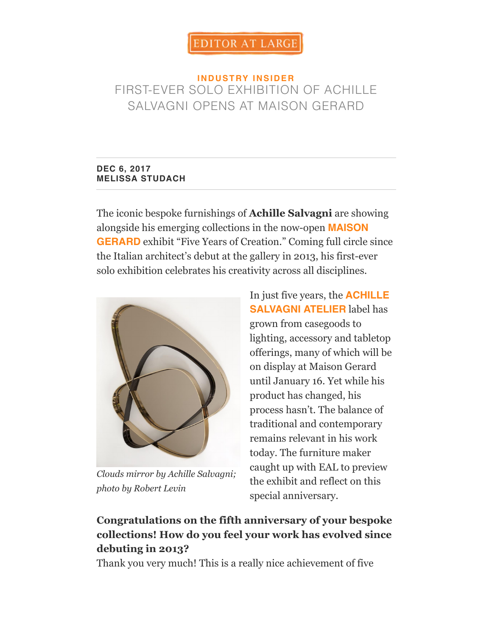### **IN DUSTRY INSIDER** FIR[ST-EVER SOLO EXH](https://editoratlarge.com/)IBITION OF ACHILLE SALVAGNI OPENS AT MAISON GERARD

#### **DEC 6, 2017 MELISSA STUDACH**

The iconic bespoke furnishings of **Achille Salvagni** are showing alongside his emerging collections in the now-open **MAISON GERARD** exhibit "Five Years of Creation." Coming full circle since the Italian architect's debut at the gallery in 2013, his first-ever [solo exhibition celebrates his creativity across all disciplines.](http://www.maisongerard.com/)



*Clouds mirror by Achille Salvagni; photo by Robert Levin*

In just five years, the **ACHILLE SALVAGNI ATELIER** label has grown from casegoods to [lighting, accessory and tabletop](https://www.achillesalvagni.com/) offerings, many of which will be on display at Maison Gerard until January 16. Yet while his product has changed, his process hasn't. The balance of traditional and contemporary remains relevant in his work today. The furniture maker caught up with EAL to preview the exhibit and reflect on this special anniversary.

# **Congratulations on the fifth anniversary of your bespoke collections! How do you feel your work has evolved since debuting in 2013?**

Thank you very much! This is a really nice achievement of five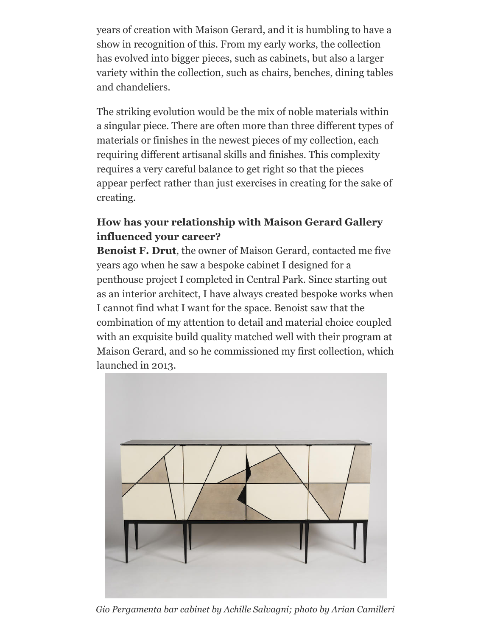years of creation with Maison Gerard, and it is humbling to have a show in recognition of this. From my early works, the collection has evolved into bigger pieces, such as cabinets, but also a larger variety within the collection, such as chairs, benches, dining tables and chandeliers.

The striking evolution would be the mix of noble materials within a singular piece. There are often more than three different types of materials or finishes in the newest pieces of my collection, each requiring different artisanal skills and finishes. This complexity requires a very careful balance to get right so that the pieces appear perfect rather than just exercises in creating for the sake of creating.

### **How has your relationship with Maison Gerard Gallery influenced your career?**

**Benoist F. Drut**, the owner of Maison Gerard, contacted me five years ago when he saw a bespoke cabinet I designed for a penthouse project I completed in Central Park. Since starting out as an interior architect, I have always created bespoke works when I cannot find what I want for the space. Benoist saw that the combination of my attention to detail and material choice coupled with an exquisite build quality matched well with their program at Maison Gerard, and so he commissioned my first collection, which launched in 2013.



*Gio Pergamenta bar cabinet by Achille Salvagni; photo by Arian Camilleri*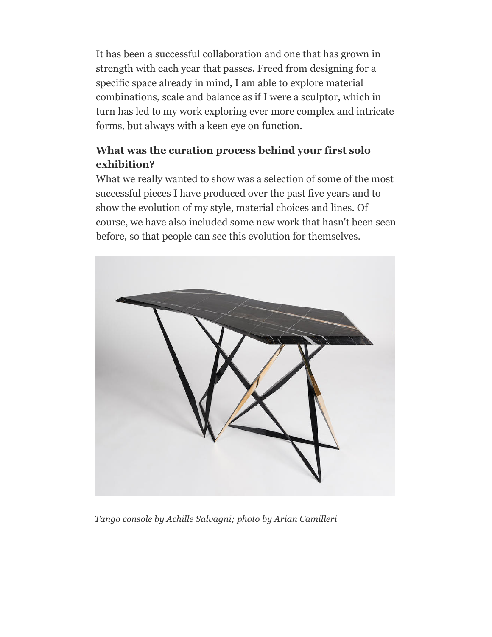It has been a successful collaboration and one that has grown in strength with each year that passes. Freed from designing for a specific space already in mind, I am able to explore material combinations, scale and balance as if I were a sculptor, which in turn has led to my work exploring ever more complex and intricate forms, but always with a keen eye on function.

## **What was the curation process behind your first solo exhibition?**

What we really wanted to show was a selection of some of the most successful pieces I have produced over the past five years and to show the evolution of my style, material choices and lines. Of course, we have also included some new work that hasn't been seen before, so that people can see this evolution for themselves.



*Tango console by Achille Salvagni; photo by Arian Camilleri*